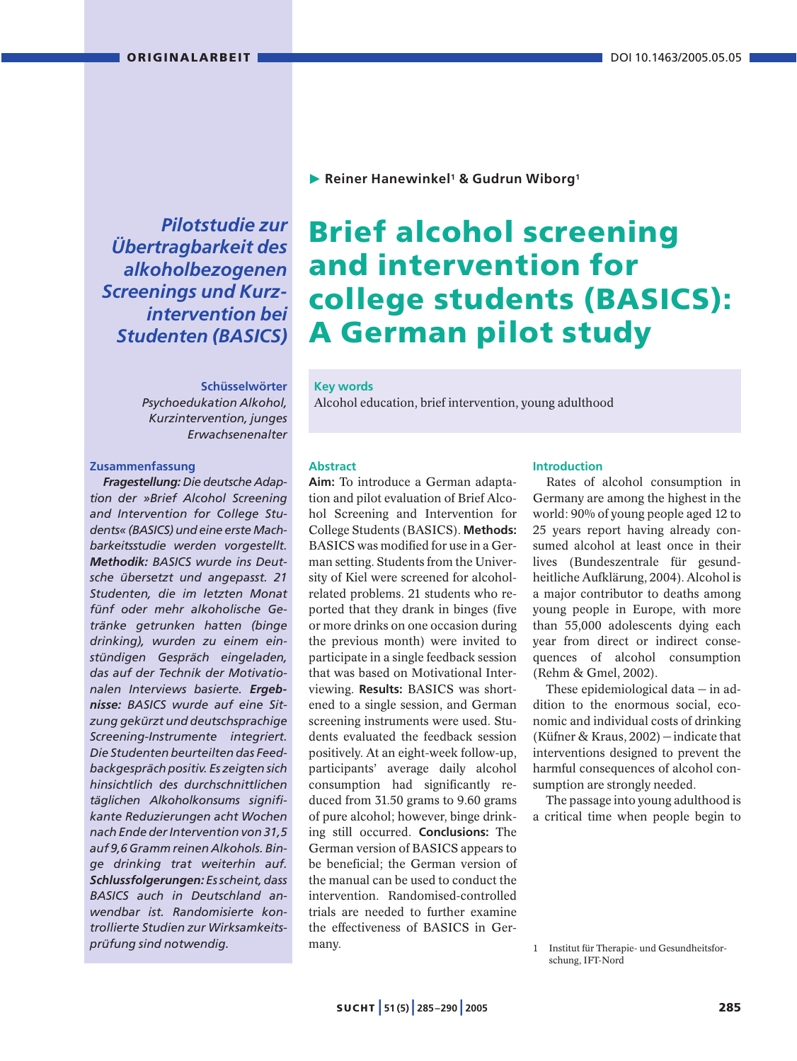*Pilotstudie zur Übertragbarkeit des alkoholbezogenen Screenings und Kurzintervention bei Studenten (BASICS)*

# **Schüsselwörter**

*Psychoedukation Alkohol, Kurzintervention, junges Erwachsenenalter*

#### **Zusammenfassung**

*Fragestellung: Die deutsche Adaption der »Brief Alcohol Screening and Intervention for College Students« (BASICS) und eine erste Machbarkeitsstudie werden vorgestellt. Methodik: BASICS wurde ins Deutsche übersetzt und angepasst. 21 Studenten, die im letzten Monat fünf oder mehr alkoholische Getränke getrunken hatten (binge drinking), wurden zu einem einstündigen Gespräch eingeladen, das auf der Technik der Motivationalen Interviews basierte. Ergebnisse: BASICS wurde auf eine Sitzung gekürzt und deutschsprachige Screening-Instrumente integriert. Die Studenten beurteilten das Feedbackgespräch positiv. Es zeigten sich hinsichtlich des durchschnittlichen täglichen Alkoholkonsums signifikante Reduzierungen acht Wochen nach Ende der Intervention von 31,5 auf 9,6 Gramm reinen Alkohols. Binge drinking trat weiterhin auf. Schlussfolgerungen: Es scheint, dass BASICS auch in Deutschland anwendbar ist. Randomisierte kontrollierte Studien zur Wirksamkeitsprüfung sind notwendig.* 

**Reiner Hanewinkel1 & Gudrun Wiborg1**

# **Brief alcohol screening and intervention for college students (BASICS): A German pilot study**

# **Key words**

Alcohol education, brief intervention, young adulthood

#### **Abstract**

**Aim:** To introduce a German adaptation and pilot evaluation of Brief Alcohol Screening and Intervention for College Students (BASICS). **Methods:** BASICS was modified for use in a German setting. Students from the University of Kiel were screened for alcoholrelated problems. 21 students who reported that they drank in binges (five or more drinks on one occasion during the previous month) were invited to participate in a single feedback session that was based on Motivational Interviewing. **Results:** BASICS was shortened to a single session, and German screening instruments were used. Students evaluated the feedback session positively. At an eight-week follow-up, participants' average daily alcohol consumption had significantly reduced from 31.50 grams to 9.60 grams of pure alcohol; however, binge drinking still occurred. **Conclusions:** The German version of BASICS appears to be beneficial; the German version of the manual can be used to conduct the intervention. Randomised-controlled trials are needed to further examine the effectiveness of BASICS in Germany.

#### **Introduction**

Rates of alcohol consumption in Germany are among the highest in the world: 90% of young people aged 12 to 25 years report having already consumed alcohol at least once in their lives (Bundeszentrale für gesundheitliche Aufklärung, 2004). Alcohol is a major contributor to deaths among young people in Europe, with more than 55,000 adolescents dying each year from direct or indirect consequences of alcohol consumption (Rehm & Gmel, 2002).

These epidemiological data — in addition to the enormous social, economic and individual costs of drinking (Küfner & Kraus, 2002) — indicate that interventions designed to prevent the harmful consequences of alcohol consumption are strongly needed.

The passage into young adulthood is a critical time when people begin to

<sup>1</sup> Institut für Therapie- und Gesundheitsforschung, IFT-Nord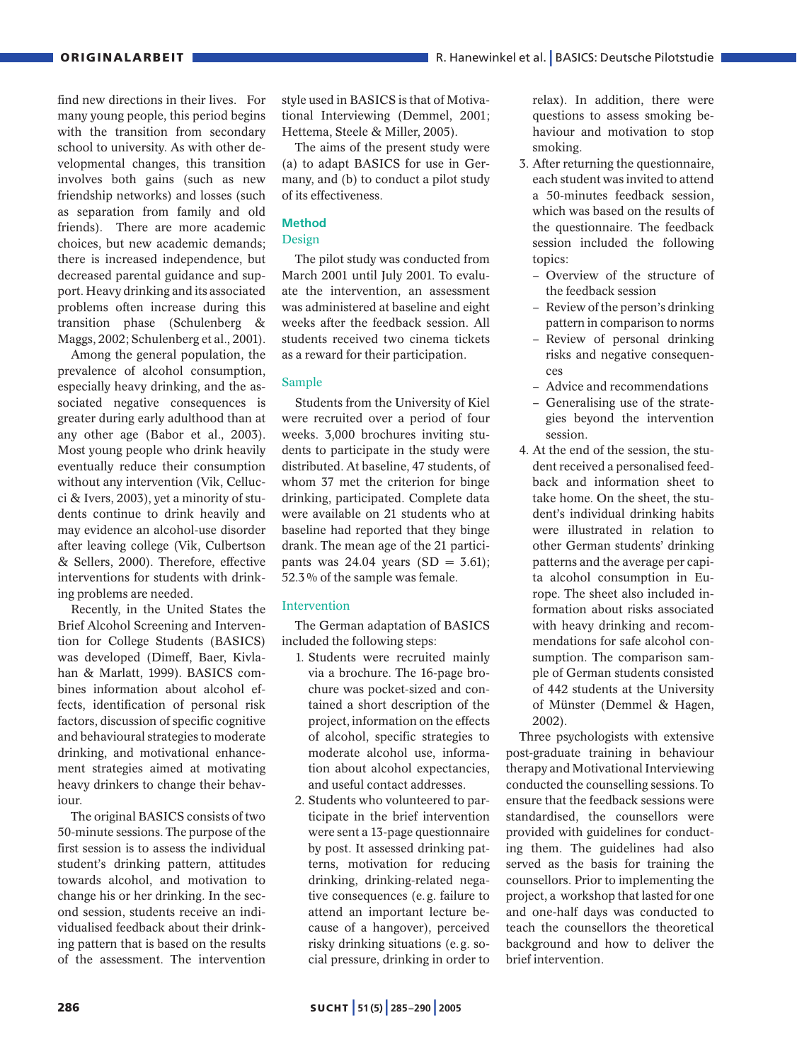find new directions in their lives. For many young people, this period begins with the transition from secondary school to university. As with other developmental changes, this transition involves both gains (such as new friendship networks) and losses (such as separation from family and old friends). There are more academic choices, but new academic demands; there is increased independence, but decreased parental guidance and support. Heavy drinking and its associated problems often increase during this transition phase (Schulenberg & Maggs, 2002; Schulenberg et al., 2001).

Among the general population, the prevalence of alcohol consumption, especially heavy drinking, and the associated negative consequences is greater during early adulthood than at any other age (Babor et al., 2003). Most young people who drink heavily eventually reduce their consumption without any intervention (Vik, Cellucci & Ivers, 2003), yet a minority of students continue to drink heavily and may evidence an alcohol-use disorder after leaving college (Vik, Culbertson & Sellers, 2000). Therefore, effective interventions for students with drinking problems are needed.

Recently, in the United States the Brief Alcohol Screening and Intervention for College Students (BASICS) was developed (Dimeff, Baer, Kivlahan & Marlatt, 1999). BASICS combines information about alcohol effects, identification of personal risk factors, discussion of specific cognitive and behavioural strategies to moderate drinking, and motivational enhancement strategies aimed at motivating heavy drinkers to change their behaviour.

The original BASICS consists of two 50-minute sessions. The purpose of the first session is to assess the individual student's drinking pattern, attitudes towards alcohol, and motivation to change his or her drinking. In the second session, students receive an individualised feedback about their drinking pattern that is based on the results of the assessment. The intervention

style used in BASICS is that of Motivational Interviewing (Demmel, 2001; Hettema, Steele & Miller, 2005).

The aims of the present study were (a) to adapt BASICS for use in Germany, and (b) to conduct a pilot study of its effectiveness.

# **Method**

#### Design

The pilot study was conducted from March 2001 until July 2001. To evaluate the intervention, an assessment was administered at baseline and eight weeks after the feedback session. All students received two cinema tickets as a reward for their participation.

# Sample

Students from the University of Kiel were recruited over a period of four weeks. 3,000 brochures inviting students to participate in the study were distributed. At baseline, 47 students, of whom 37 met the criterion for binge drinking, participated. Complete data were available on 21 students who at baseline had reported that they binge drank. The mean age of the 21 participants was  $24.04$  years  $(SD = 3.61)$ ; 52.3% of the sample was female.

# Intervention

The German adaptation of BASICS included the following steps:

- 1. Students were recruited mainly via a brochure. The 16-page brochure was pocket-sized and contained a short description of the project, information on the effects of alcohol, specific strategies to moderate alcohol use, information about alcohol expectancies, and useful contact addresses.
- 2. Students who volunteered to participate in the brief intervention were sent a 13-page questionnaire by post. It assessed drinking patterns, motivation for reducing drinking, drinking-related negative consequences (e.g. failure to attend an important lecture because of a hangover), perceived risky drinking situations (e.g. social pressure, drinking in order to

relax). In addition, there were questions to assess smoking behaviour and motivation to stop smoking.

- 3. After returning the questionnaire, each student was invited to attend a 50-minutes feedback session, which was based on the results of the questionnaire. The feedback session included the following topics:
	- Overview of the structure of the feedback session
	- Review of the person's drinking pattern in comparison to norms
	- Review of personal drinking risks and negative consequences
	- Advice and recommendations
	- Generalising use of the strategies beyond the intervention session.
- 4. At the end of the session, the student received a personalised feedback and information sheet to take home. On the sheet, the student's individual drinking habits were illustrated in relation to other German students' drinking patterns and the average per capita alcohol consumption in Europe. The sheet also included information about risks associated with heavy drinking and recommendations for safe alcohol consumption. The comparison sample of German students consisted of 442 students at the University of Münster (Demmel & Hagen, 2002).

Three psychologists with extensive post-graduate training in behaviour therapy and Motivational Interviewing conducted the counselling sessions. To ensure that the feedback sessions were standardised, the counsellors were provided with guidelines for conducting them. The guidelines had also served as the basis for training the counsellors. Prior to implementing the project, a workshop that lasted for one and one-half days was conducted to teach the counsellors the theoretical background and how to deliver the brief intervention.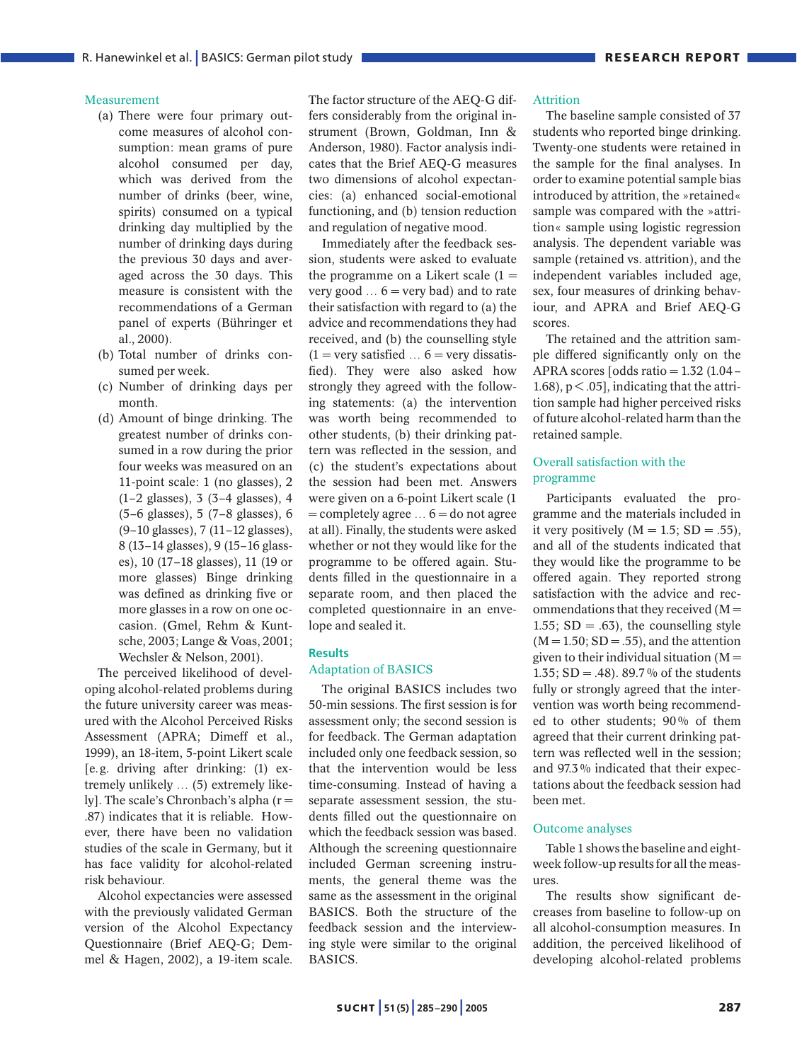## Measurement

- (a) There were four primary outcome measures of alcohol consumption: mean grams of pure alcohol consumed per day, which was derived from the number of drinks (beer, wine, spirits) consumed on a typical drinking day multiplied by the number of drinking days during the previous 30 days and averaged across the 30 days. This measure is consistent with the recommendations of a German panel of experts (Bühringer et al., 2000).
- (b) Total number of drinks consumed per week.
- (c) Number of drinking days per month.
- (d) Amount of binge drinking. The greatest number of drinks consumed in a row during the prior four weeks was measured on an 11-point scale: 1 (no glasses), 2 (1–2 glasses), 3 (3–4 glasses), 4 (5–6 glasses), 5 (7–8 glasses), 6 (9–10 glasses), 7 (11–12 glasses), 8 (13–14 glasses), 9 (15–16 glasses), 10 (17–18 glasses), 11 (19 or more glasses) Binge drinking was defined as drinking five or more glasses in a row on one occasion. (Gmel, Rehm & Kuntsche, 2003; Lange & Voas, 2001; Wechsler & Nelson, 2001).

The perceived likelihood of developing alcohol-related problems during the future university career was measured with the Alcohol Perceived Risks Assessment (APRA; Dimeff et al., 1999), an 18-item, 5-point Likert scale [e.g. driving after drinking: (1) extremely unlikely … (5) extremely likely]. The scale's Chronbach's alpha (r = .87) indicates that it is reliable. However, there have been no validation studies of the scale in Germany, but it has face validity for alcohol-related risk behaviour.

Alcohol expectancies were assessed with the previously validated German version of the Alcohol Expectancy Questionnaire (Brief AEQ-G; Demmel & Hagen, 2002), a 19-item scale. The factor structure of the AEQ-G differs considerably from the original instrument (Brown, Goldman, Inn & Anderson, 1980). Factor analysis indicates that the Brief AEQ-G measures two dimensions of alcohol expectancies: (a) enhanced social-emotional functioning, and (b) tension reduction and regulation of negative mood.

Immediately after the feedback session, students were asked to evaluate the programme on a Likert scale  $(1 =$ very good  $\dots$  6 = very bad) and to rate their satisfaction with regard to (a) the advice and recommendations they had received, and (b) the counselling style  $(1 = \text{very satisfied} \dots 6 = \text{very dissatis-}$ fied). They were also asked how strongly they agreed with the following statements: (a) the intervention was worth being recommended to other students, (b) their drinking pattern was reflected in the session, and (c) the student's expectations about the session had been met. Answers were given on a 6-point Likert scale (1  $=$  completely agree  $\dots$  6  $=$  do not agree at all). Finally, the students were asked whether or not they would like for the programme to be offered again. Students filled in the questionnaire in a separate room, and then placed the completed questionnaire in an envelope and sealed it.

#### **Results**

## Adaptation of BASICS

The original BASICS includes two 50-min sessions. The first session is for assessment only; the second session is for feedback. The German adaptation included only one feedback session, so that the intervention would be less time-consuming. Instead of having a separate assessment session, the students filled out the questionnaire on which the feedback session was based. Although the screening questionnaire included German screening instruments, the general theme was the same as the assessment in the original BASICS. Both the structure of the feedback session and the interviewing style were similar to the original BASICS.

#### Attrition

The baseline sample consisted of 37 students who reported binge drinking. Twenty-one students were retained in the sample for the final analyses. In order to examine potential sample bias introduced by attrition, the »retained« sample was compared with the »attrition« sample using logistic regression analysis. The dependent variable was sample (retained vs. attrition), and the independent variables included age, sex, four measures of drinking behaviour, and APRA and Brief AEQ-G scores.

The retained and the attrition sample differed significantly only on the APRA scores [odds ratio  $= 1.32$  (1.04 – 1.68),  $p < .05$ ], indicating that the attrition sample had higher perceived risks of future alcohol-related harm than the retained sample.

# Overall satisfaction with the programme

Participants evaluated the programme and the materials included in it very positively  $(M = 1.5; SD = .55)$ , and all of the students indicated that they would like the programme to be offered again. They reported strong satisfaction with the advice and recommendations that they received  $(M =$ 1.55;  $SD = .63$ ), the counselling style  $(M = 1.50; SD = .55)$ , and the attention given to their individual situation  $(M =$ 1.35; SD = .48). 89.7% of the students fully or strongly agreed that the intervention was worth being recommended to other students; 90% of them agreed that their current drinking pattern was reflected well in the session; and 97.3% indicated that their expectations about the feedback session had been met.

## Outcome analyses

Table 1 shows the baseline and eightweek follow-up results for all the measures.

The results show significant decreases from baseline to follow-up on all alcohol-consumption measures. In addition, the perceived likelihood of developing alcohol-related problems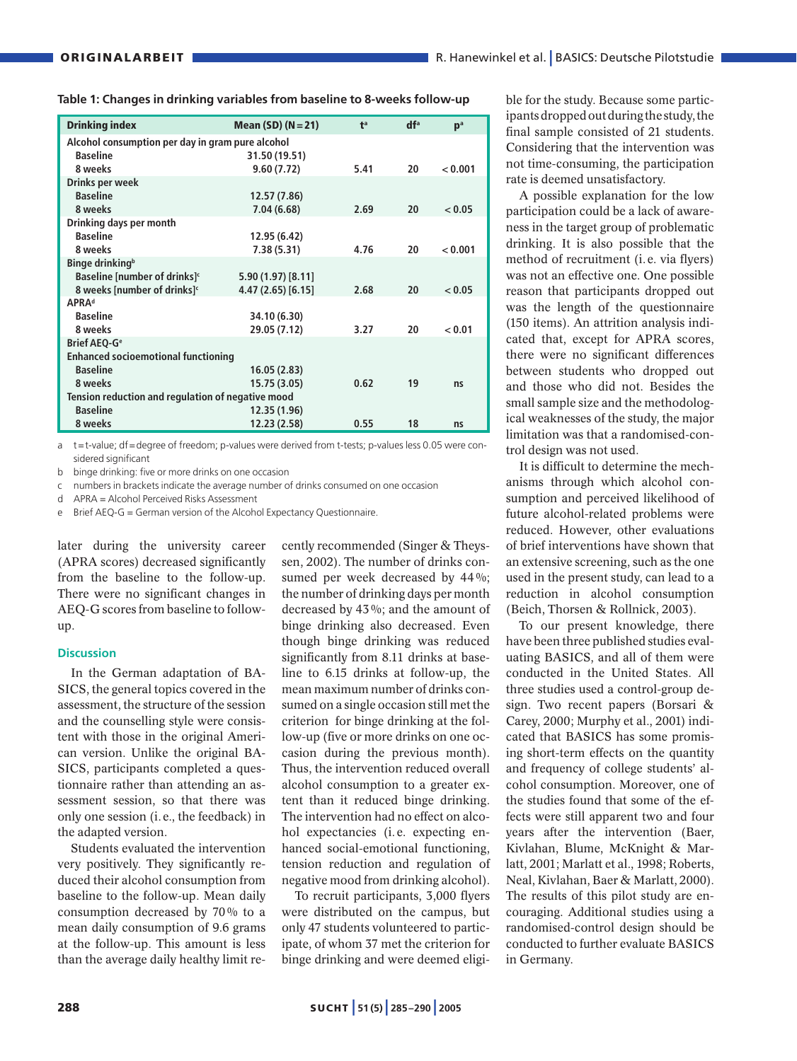| <b>Drinking index</b>                             | Mean (SD) ( $N = 21$ ) | f <sup>a</sup> | df <sup>a</sup> | p <sup>a</sup> |
|---------------------------------------------------|------------------------|----------------|-----------------|----------------|
| Alcohol consumption per day in gram pure alcohol  |                        |                |                 |                |
| <b>Baseline</b>                                   | 31.50 (19.51)          |                |                 |                |
| 8 weeks                                           | 9.60(7.72)             | 5.41           | 20              | < 0.001        |
| Drinks per week                                   |                        |                |                 |                |
| <b>Baseline</b>                                   | 12.57 (7.86)           |                |                 |                |
| 8 weeks                                           | 7.04(6.68)             | 2.69           | 20              | < 0.05         |
| Drinking days per month                           |                        |                |                 |                |
| <b>Baseline</b>                                   | 12.95 (6.42)           |                |                 |                |
| 8 weeks                                           | 7.38(5.31)             | 4.76           | 20              | < 0.001        |
| Binge drinking <sup>b</sup>                       |                        |                |                 |                |
| Baseline [number of drinks] <sup>c</sup>          | 5.90 (1.97) [8.11]     |                |                 |                |
| 8 weeks [number of drinks] <sup>c</sup>           | 4.47 (2.65) [6.15]     | 2.68           | 20              | < 0.05         |
| <b>APRAd</b>                                      |                        |                |                 |                |
| <b>Baseline</b>                                   | 34.10 (6.30)           |                |                 |                |
| 8 weeks                                           | 29.05 (7.12)           | 3.27           | 20              | < 0.01         |
| <b>Brief AEQ-G<sup>e</sup></b>                    |                        |                |                 |                |
| <b>Enhanced socioemotional functioning</b>        |                        |                |                 |                |
| <b>Baseline</b>                                   | 16.05(2.83)            |                |                 |                |
| 8 weeks                                           | 15.75 (3.05)           | 0.62           | 19              | ns             |
| Tension reduction and regulation of negative mood |                        |                |                 |                |
| <b>Baseline</b>                                   | 12.35 (1.96)           |                |                 |                |
| 8 weeks                                           | 12.23 (2.58)           | 0.55           | 18              | ns             |

**Table 1: Changes in drinking variables from baseline to 8-weeks follow-up**

a t=t-value; df=degree of freedom; p-values were derived from t-tests; p-values less 0.05 were considered significant

b binge drinking: five or more drinks on one occasion

c numbers in brackets indicate the average number of drinks consumed on one occasion

d APRA = Alcohol Perceived Risks Assessment

Brief AEQ-G = German version of the Alcohol Expectancy Questionnaire.

later during the university career (APRA scores) decreased significantly from the baseline to the follow-up. There were no significant changes in AEQ-G scores from baseline to followup.

#### **Discussion**

In the German adaptation of BA-SICS, the general topics covered in the assessment, the structure of the session and the counselling style were consistent with those in the original American version. Unlike the original BA-SICS, participants completed a questionnaire rather than attending an assessment session, so that there was only one session (i.e., the feedback) in the adapted version.

Students evaluated the intervention very positively. They significantly reduced their alcohol consumption from baseline to the follow-up. Mean daily consumption decreased by 70% to a mean daily consumption of 9.6 grams at the follow-up. This amount is less than the average daily healthy limit recently recommended (Singer & Theyssen, 2002). The number of drinks consumed per week decreased by 44%; the number of drinking days per month decreased by 43%; and the amount of binge drinking also decreased. Even though binge drinking was reduced significantly from 8.11 drinks at baseline to 6.15 drinks at follow-up, the mean maximum number of drinks consumed on a single occasion still met the criterion for binge drinking at the follow-up (five or more drinks on one occasion during the previous month). Thus, the intervention reduced overall alcohol consumption to a greater extent than it reduced binge drinking. The intervention had no effect on alcohol expectancies (i.e. expecting enhanced social-emotional functioning, tension reduction and regulation of negative mood from drinking alcohol).

To recruit participants, 3,000 flyers were distributed on the campus, but only 47 students volunteered to participate, of whom 37 met the criterion for binge drinking and were deemed eligible for the study. Because some participants dropped out during the study, the final sample consisted of 21 students. Considering that the intervention was not time-consuming, the participation rate is deemed unsatisfactory.

A possible explanation for the low participation could be a lack of awareness in the target group of problematic drinking. It is also possible that the method of recruitment (i.e. via flyers) was not an effective one. One possible reason that participants dropped out was the length of the questionnaire (150 items). An attrition analysis indicated that, except for APRA scores, there were no significant differences between students who dropped out and those who did not. Besides the small sample size and the methodological weaknesses of the study, the major limitation was that a randomised-control design was not used.

It is difficult to determine the mechanisms through which alcohol consumption and perceived likelihood of future alcohol-related problems were reduced. However, other evaluations of brief interventions have shown that an extensive screening, such as the one used in the present study, can lead to a reduction in alcohol consumption (Beich, Thorsen & Rollnick, 2003).

To our present knowledge, there have been three published studies evaluating BASICS, and all of them were conducted in the United States. All three studies used a control-group design. Two recent papers (Borsari & Carey, 2000; Murphy et al., 2001) indicated that BASICS has some promising short-term effects on the quantity and frequency of college students' alcohol consumption. Moreover, one of the studies found that some of the effects were still apparent two and four years after the intervention (Baer, Kivlahan, Blume, McKnight & Marlatt, 2001; Marlatt et al., 1998; Roberts, Neal, Kivlahan, Baer & Marlatt, 2000). The results of this pilot study are encouraging. Additional studies using a randomised-control design should be conducted to further evaluate BASICS in Germany.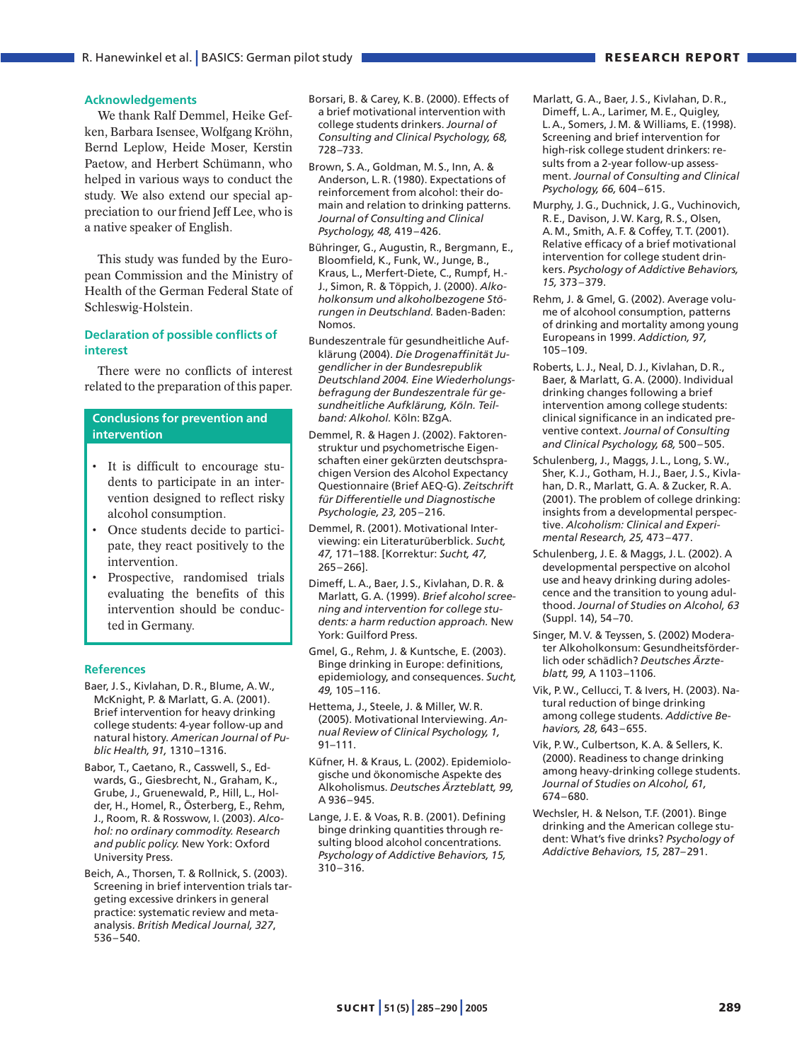#### **Acknowledgements**

We thank Ralf Demmel, Heike Gefken, Barbara Isensee, Wolfgang Kröhn, Bernd Leplow, Heide Moser, Kerstin Paetow, and Herbert Schümann, who helped in various ways to conduct the study. We also extend our special appreciation to our friend Jeff Lee, who is a native speaker of English.

This study was funded by the European Commission and the Ministry of Health of the German Federal State of Schleswig-Holstein.

## **Declaration of possible conflicts of interest**

There were no conflicts of interest related to the preparation of this paper.

# **Conclusions for prevention and intervention**

- It is difficult to encourage students to participate in an intervention designed to reflect risky alcohol consumption.
- Once students decide to participate, they react positively to the intervention.
- Prospective, randomised trials evaluating the benefits of this intervention should be conducted in Germany.

#### **References**

- Baer, J. S., Kivlahan, D. R., Blume, A. W., McKnight, P. & Marlatt, G. A. (2001). Brief intervention for heavy drinking college students: 4-year follow-up and natural history. *American Journal of Public Health, 91,* 1310–1316.
- Babor, T., Caetano, R., Casswell, S., Edwards, G., Giesbrecht, N., Graham, K., Grube, J., Gruenewald, P., Hill, L., Holder, H., Homel, R., Österberg, E., Rehm, J., Room, R. & Rosswow, I. (2003). *Alcohol: no ordinary commodity. Research and public policy.* New York: Oxford University Press.
- Beich, A., Thorsen, T. & Rollnick, S. (2003). Screening in brief intervention trials targeting excessive drinkers in general practice: systematic review and metaanalysis. *British Medical Journal, 327*, 536–540.
- Borsari, B. & Carey, K. B. (2000). Effects of a brief motivational intervention with college students drinkers. *Journal of Consulting and Clinical Psychology, 68,* 728–733.
- Brown, S. A., Goldman, M. S., Inn, A. & Anderson, L. R. (1980). Expectations of reinforcement from alcohol: their domain and relation to drinking patterns. *Journal of Consulting and Clinical Psychology, 48,* 419–426.
- Bühringer, G., Augustin, R., Bergmann, E., Bloomfield, K., Funk, W., Junge, B., Kraus, L., Merfert-Diete, C., Rumpf, H.- J., Simon, R. & Töppich, J. (2000). *Alkoholkonsum und alkoholbezogene Störungen in Deutschland.* Baden-Baden: Nomos.
- Bundeszentrale für gesundheitliche Aufklärung (2004). *Die Drogenaffinität Jugendlicher in der Bundesrepublik Deutschland 2004. Eine Wiederholungsbefragung der Bundeszentrale für gesundheitliche Aufklärung, Köln. Teilband: Alkohol.* Köln: BZgA.
- Demmel, R. & Hagen J. (2002). Faktorenstruktur und psychometrische Eigenschaften einer gekürzten deutschsprachigen Version des Alcohol Expectancy Questionnaire (Brief AEQ-G). *Zeitschrift für Differentielle und Diagnostische Psychologie, 23,* 205–216.
- Demmel, R. (2001). Motivational Interviewing: ein Literaturüberblick. *Sucht, 47,* 171–188. [Korrektur: *Sucht, 47,* 265–266].
- Dimeff, L. A., Baer, J. S., Kivlahan, D. R. & Marlatt, G. A. (1999). *Brief alcohol screening and intervention for college students: a harm reduction approach.* New York: Guilford Press.
- Gmel, G., Rehm, J. & Kuntsche, E. (2003). Binge drinking in Europe: definitions, epidemiology, and consequences. *Sucht, 49,* 105–116.
- Hettema, J., Steele, J. & Miller, W.R. (2005). Motivational Interviewing. *Annual Review of Clinical Psychology, 1,* 91–111.
- Küfner, H. & Kraus, L. (2002). Epidemiologische und ökonomische Aspekte des Alkoholismus. *Deutsches Ärzteblatt, 99,* A 936–945.
- Lange, J. E. & Voas, R. B. (2001). Defining binge drinking quantities through resulting blood alcohol concentrations. *Psychology of Addictive Behaviors, 15,* 310–316.
- Marlatt, G. A., Baer, J. S., Kivlahan, D. R., Dimeff, L. A., Larimer, M. E., Quigley, L. A., Somers, J. M. & Williams, E. (1998). Screening and brief intervention for high-risk college student drinkers: results from a 2-year follow-up assessment. *Journal of Consulting and Clinical Psychology, 66,* 604–615.
- Murphy, J. G., Duchnick, J. G., Vuchinovich, R. E., Davison, J. W. Karg, R. S., Olsen, A. M., Smith, A. F. & Coffey, T. T. (2001). Relative efficacy of a brief motivational intervention for college student drinkers. *Psychology of Addictive Behaviors, 15,* 373–379.
- Rehm, J. & Gmel, G. (2002). Average volume of alcohool consumption, patterns of drinking and mortality among young Europeans in 1999. *Addiction, 97,* 105–109.
- Roberts, L. J., Neal, D. J., Kivlahan, D. R., Baer, & Marlatt, G. A. (2000). Individual drinking changes following a brief intervention among college students: clinical significance in an indicated preventive context. *Journal of Consulting and Clinical Psychology, 68,* 500–505.
- Schulenberg, J., Maggs, J. L., Long, S. W., Sher, K. J., Gotham, H. J., Baer, J. S., Kivlahan, D. R., Marlatt, G. A. & Zucker, R. A. (2001). The problem of college drinking: insights from a developmental perspective. *Alcoholism: Clinical and Experimental Research, 25,* 473–477.
- Schulenberg, J. E. & Maggs, J. L. (2002). A developmental perspective on alcohol use and heavy drinking during adolescence and the transition to young adulthood. *Journal of Studies on Alcohol, 63* (Suppl. 14), 54–70.
- Singer, M. V. & Teyssen, S. (2002) Moderater Alkoholkonsum: Gesundheitsförderlich oder schädlich? *Deutsches Ärzteblatt, 99,* A 1103–1106.
- Vik, P.W., Cellucci, T. & Ivers, H. (2003). Natural reduction of binge drinking among college students. *Addictive Behaviors, 28,* 643–655.
- Vik, P.W., Culbertson, K. A. & Sellers, K. (2000). Readiness to change drinking among heavy-drinking college students. *Journal of Studies on Alcohol, 61,* 674–680.
- Wechsler, H. & Nelson, T.F. (2001). Binge drinking and the American college student: What's five drinks? *Psychology of Addictive Behaviors, 15,* 287–291.